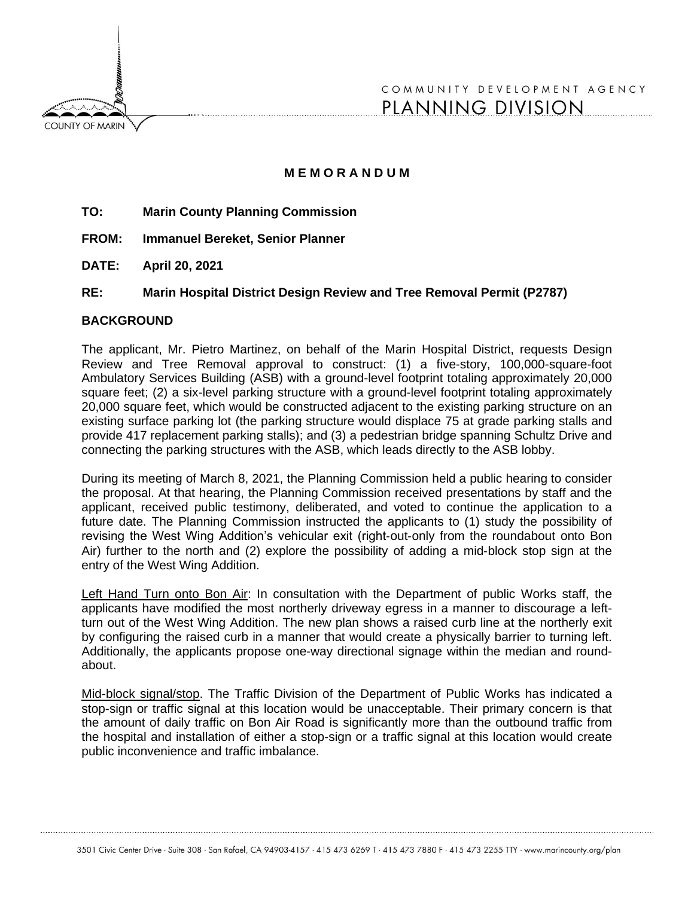**COUNTY OF MARIN** 

COMMUNITY DEVELOPMENT AGENCY PLANNING DIVISION

# **M E M O R A N D U M**

- **TO: Marin County Planning Commission**
- **FROM: Immanuel Bereket, Senior Planner**
- **DATE: April 20, 2021**

## **RE: Marin Hospital District Design Review and Tree Removal Permit (P2787)**

#### **BACKGROUND**

The applicant, Mr. Pietro Martinez, on behalf of the Marin Hospital District, requests Design Review and Tree Removal approval to construct: (1) a five-story, 100,000-square-foot Ambulatory Services Building (ASB) with a ground-level footprint totaling approximately 20,000 square feet; (2) a six-level parking structure with a ground-level footprint totaling approximately 20,000 square feet, which would be constructed adjacent to the existing parking structure on an existing surface parking lot (the parking structure would displace 75 at grade parking stalls and provide 417 replacement parking stalls); and (3) a pedestrian bridge spanning Schultz Drive and connecting the parking structures with the ASB, which leads directly to the ASB lobby.

During its meeting of March 8, 2021, the Planning Commission held a public hearing to consider the proposal. At that hearing, the Planning Commission received presentations by staff and the applicant, received public testimony, deliberated, and voted to continue the application to a future date. The Planning Commission instructed the applicants to (1) study the possibility of revising the West Wing Addition's vehicular exit (right‐out‐only from the roundabout onto Bon Air) further to the north and (2) explore the possibility of adding a mid‐block stop sign at the entry of the West Wing Addition.

Left Hand Turn onto Bon Air: In consultation with the Department of public Works staff, the applicants have modified the most northerly driveway egress in a manner to discourage a leftturn out of the West Wing Addition. The new plan shows a raised curb line at the northerly exit by configuring the raised curb in a manner that would create a physically barrier to turning left. Additionally, the applicants propose one-way directional signage within the median and roundabout.

Mid-block signal/stop. The Traffic Division of the Department of Public Works has indicated a stop-sign or traffic signal at this location would be unacceptable. Their primary concern is that the amount of daily traffic on Bon Air Road is significantly more than the outbound traffic from the hospital and installation of either a stop-sign or a traffic signal at this location would create public inconvenience and traffic imbalance.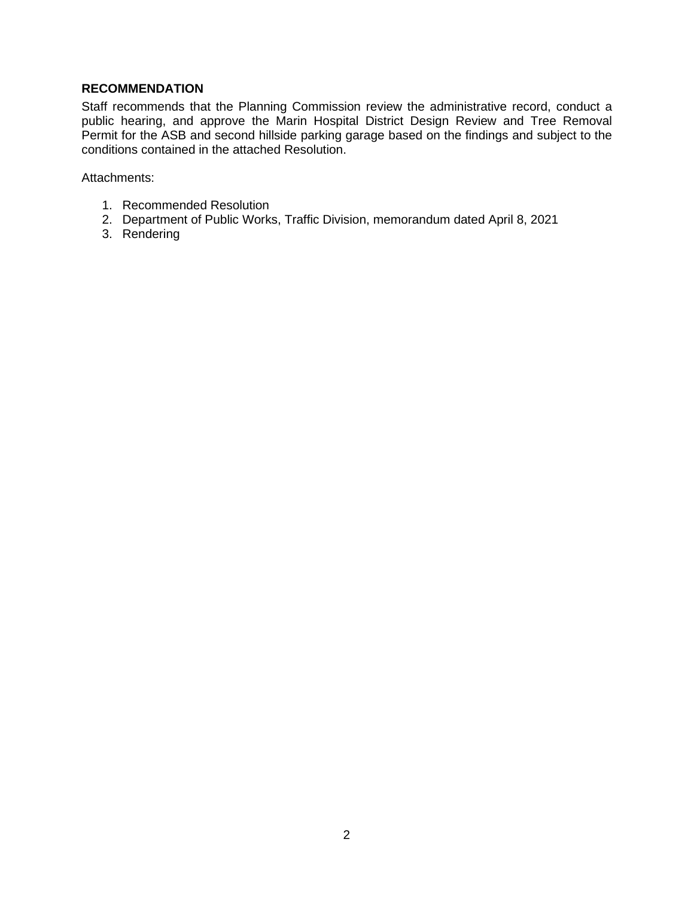# **RECOMMENDATION**

Staff recommends that the Planning Commission review the administrative record, conduct a public hearing, and approve the Marin Hospital District Design Review and Tree Removal Permit for the ASB and second hillside parking garage based on the findings and subject to the conditions contained in the attached Resolution.

Attachments:

- 1. Recommended Resolution
- 2. Department of Public Works, Traffic Division, memorandum dated April 8, 2021
- 3. Rendering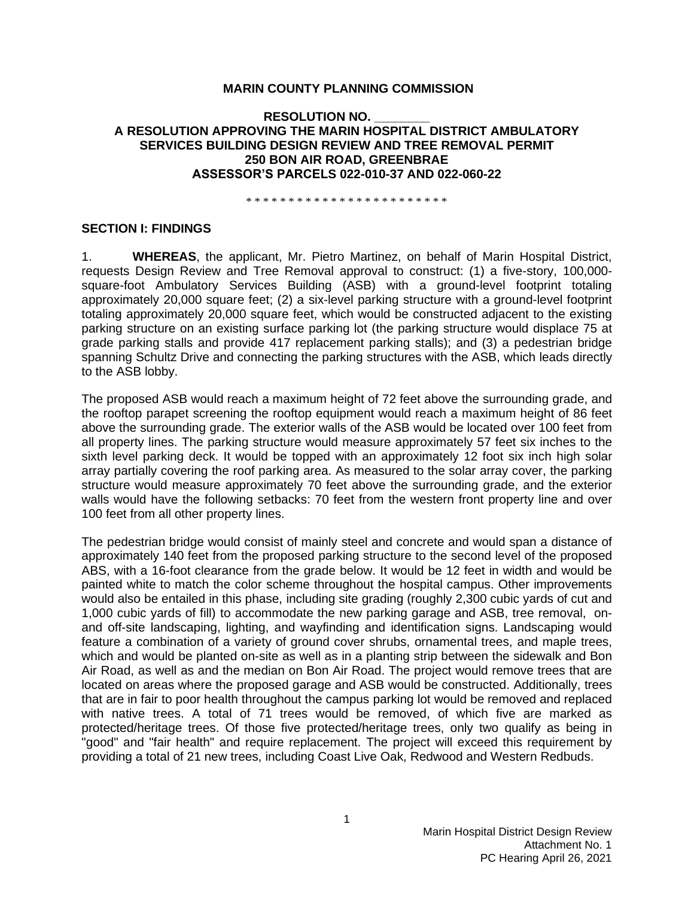### **MARIN COUNTY PLANNING COMMISSION**

## **RESOLUTION NO. \_\_\_\_\_\_\_\_ A RESOLUTION APPROVING THE MARIN HOSPITAL DISTRICT AMBULATORY SERVICES BUILDING DESIGN REVIEW AND TREE REMOVAL PERMIT 250 BON AIR ROAD, GREENBRAE ASSESSOR'S PARCELS 022-010-37 AND 022-060-22**

\* \* \* \* \* \* \* \* \* \* \* \* \* \* \* \* \* \* \* \* \* \* \* \*

#### **SECTION I: FINDINGS**

1. **WHEREAS**, the applicant, Mr. Pietro Martinez, on behalf of Marin Hospital District, requests Design Review and Tree Removal approval to construct: (1) a five-story, 100,000 square-foot Ambulatory Services Building (ASB) with a ground-level footprint totaling approximately 20,000 square feet; (2) a six-level parking structure with a ground-level footprint totaling approximately 20,000 square feet, which would be constructed adjacent to the existing parking structure on an existing surface parking lot (the parking structure would displace 75 at grade parking stalls and provide 417 replacement parking stalls); and (3) a pedestrian bridge spanning Schultz Drive and connecting the parking structures with the ASB, which leads directly to the ASB lobby.

The proposed ASB would reach a maximum height of 72 feet above the surrounding grade, and the rooftop parapet screening the rooftop equipment would reach a maximum height of 86 feet above the surrounding grade. The exterior walls of the ASB would be located over 100 feet from all property lines. The parking structure would measure approximately 57 feet six inches to the sixth level parking deck. It would be topped with an approximately 12 foot six inch high solar array partially covering the roof parking area. As measured to the solar array cover, the parking structure would measure approximately 70 feet above the surrounding grade, and the exterior walls would have the following setbacks: 70 feet from the western front property line and over 100 feet from all other property lines.

The pedestrian bridge would consist of mainly steel and concrete and would span a distance of approximately 140 feet from the proposed parking structure to the second level of the proposed ABS, with a 16-foot clearance from the grade below. It would be 12 feet in width and would be painted white to match the color scheme throughout the hospital campus. Other improvements would also be entailed in this phase, including site grading (roughly 2,300 cubic yards of cut and 1,000 cubic yards of fill) to accommodate the new parking garage and ASB, tree removal, onand off-site landscaping, lighting, and wayfinding and identification signs. Landscaping would feature a combination of a variety of ground cover shrubs, ornamental trees, and maple trees, which and would be planted on-site as well as in a planting strip between the sidewalk and Bon Air Road, as well as and the median on Bon Air Road. The project would remove trees that are located on areas where the proposed garage and ASB would be constructed. Additionally, trees that are in fair to poor health throughout the campus parking lot would be removed and replaced with native trees. A total of 71 trees would be removed, of which five are marked as protected/heritage trees. Of those five protected/heritage trees, only two qualify as being in "good" and "fair health" and require replacement. The project will exceed this requirement by providing a total of 21 new trees, including Coast Live Oak, Redwood and Western Redbuds.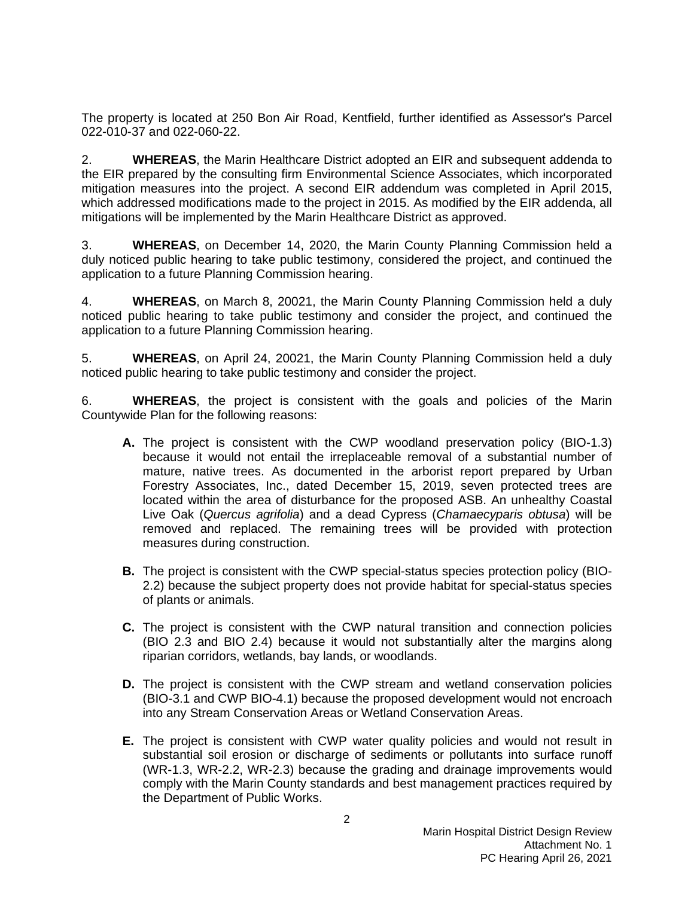The property is located at 250 Bon Air Road, Kentfield, further identified as Assessor's Parcel 022-010-37 and 022-060-22.

2. **WHEREAS**, the Marin Healthcare District adopted an EIR and subsequent addenda to the EIR prepared by the consulting firm Environmental Science Associates, which incorporated mitigation measures into the project. A second EIR addendum was completed in April 2015, which addressed modifications made to the project in 2015. As modified by the EIR addenda, all mitigations will be implemented by the Marin Healthcare District as approved.

3. **WHEREAS**, on December 14, 2020, the Marin County Planning Commission held a duly noticed public hearing to take public testimony, considered the project, and continued the application to a future Planning Commission hearing.

4. **WHEREAS**, on March 8, 20021, the Marin County Planning Commission held a duly noticed public hearing to take public testimony and consider the project, and continued the application to a future Planning Commission hearing.

5. **WHEREAS**, on April 24, 20021, the Marin County Planning Commission held a duly noticed public hearing to take public testimony and consider the project.

6. **WHEREAS**, the project is consistent with the goals and policies of the Marin Countywide Plan for the following reasons:

- **A.** The project is consistent with the CWP woodland preservation policy (BIO-1.3) because it would not entail the irreplaceable removal of a substantial number of mature, native trees. As documented in the arborist report prepared by Urban Forestry Associates, Inc., dated December 15, 2019, seven protected trees are located within the area of disturbance for the proposed ASB. An unhealthy Coastal Live Oak (*Quercus agrifolia*) and a dead Cypress (*Chamaecyparis obtusa*) will be removed and replaced. The remaining trees will be provided with protection measures during construction.
- **B.** The project is consistent with the CWP special-status species protection policy (BIO-2.2) because the subject property does not provide habitat for special-status species of plants or animals.
- **C.** The project is consistent with the CWP natural transition and connection policies (BIO 2.3 and BIO 2.4) because it would not substantially alter the margins along riparian corridors, wetlands, bay lands, or woodlands.
- **D.** The project is consistent with the CWP stream and wetland conservation policies (BIO-3.1 and CWP BIO-4.1) because the proposed development would not encroach into any Stream Conservation Areas or Wetland Conservation Areas.
- **E.** The project is consistent with CWP water quality policies and would not result in substantial soil erosion or discharge of sediments or pollutants into surface runoff (WR-1.3, WR-2.2, WR-2.3) because the grading and drainage improvements would comply with the Marin County standards and best management practices required by the Department of Public Works.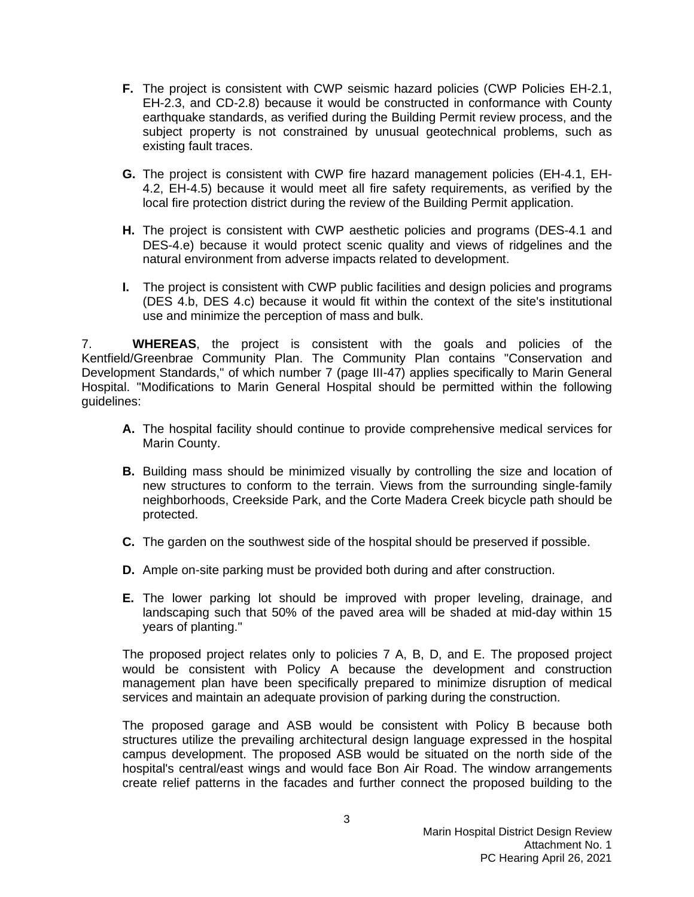- **F.** The project is consistent with CWP seismic hazard policies (CWP Policies EH-2.1, EH-2.3, and CD-2.8) because it would be constructed in conformance with County earthquake standards, as verified during the Building Permit review process, and the subject property is not constrained by unusual geotechnical problems, such as existing fault traces.
- **G.** The project is consistent with CWP fire hazard management policies (EH-4.1, EH-4.2, EH-4.5) because it would meet all fire safety requirements, as verified by the local fire protection district during the review of the Building Permit application.
- **H.** The project is consistent with CWP aesthetic policies and programs (DES-4.1 and DES-4.e) because it would protect scenic quality and views of ridgelines and the natural environment from adverse impacts related to development.
- **I.** The project is consistent with CWP public facilities and design policies and programs (DES 4.b, DES 4.c) because it would fit within the context of the site's institutional use and minimize the perception of mass and bulk.

7. **WHEREAS**, the project is consistent with the goals and policies of the Kentfield/Greenbrae Community Plan. The Community Plan contains "Conservation and Development Standards," of which number 7 (page III-47) applies specifically to Marin General Hospital. "Modifications to Marin General Hospital should be permitted within the following guidelines:

- **A.** The hospital facility should continue to provide comprehensive medical services for Marin County.
- **B.** Building mass should be minimized visually by controlling the size and location of new structures to conform to the terrain. Views from the surrounding single-family neighborhoods, Creekside Park, and the Corte Madera Creek bicycle path should be protected.
- **C.** The garden on the southwest side of the hospital should be preserved if possible.
- **D.** Ample on-site parking must be provided both during and after construction.
- **E.** The lower parking lot should be improved with proper leveling, drainage, and landscaping such that 50% of the paved area will be shaded at mid-day within 15 years of planting."

The proposed project relates only to policies 7 A, B, D, and E. The proposed project would be consistent with Policy A because the development and construction management plan have been specifically prepared to minimize disruption of medical services and maintain an adequate provision of parking during the construction.

The proposed garage and ASB would be consistent with Policy B because both structures utilize the prevailing architectural design language expressed in the hospital campus development. The proposed ASB would be situated on the north side of the hospital's central/east wings and would face Bon Air Road. The window arrangements create relief patterns in the facades and further connect the proposed building to the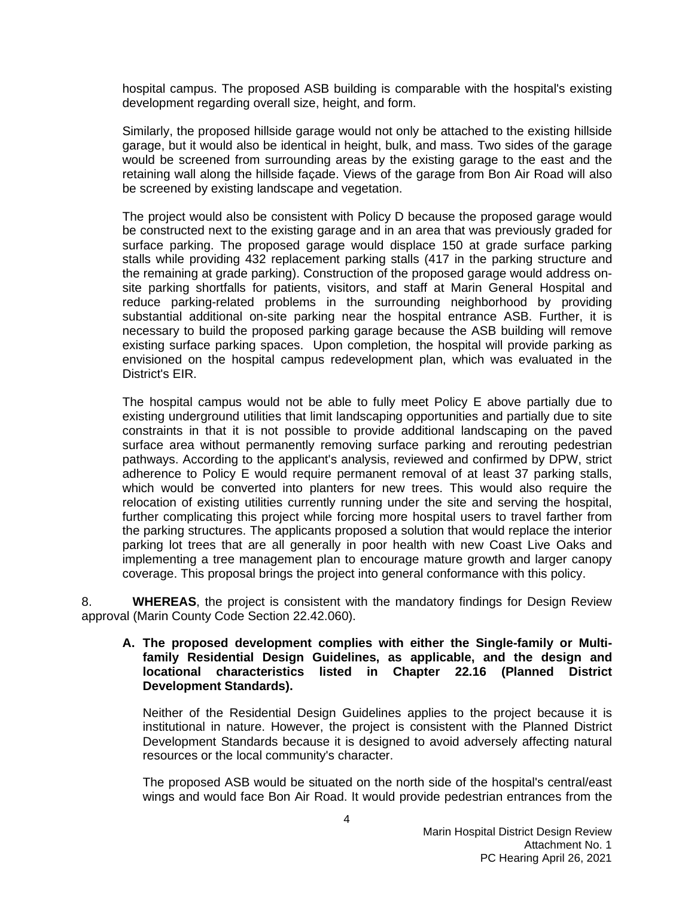hospital campus. The proposed ASB building is comparable with the hospital's existing development regarding overall size, height, and form.

Similarly, the proposed hillside garage would not only be attached to the existing hillside garage, but it would also be identical in height, bulk, and mass. Two sides of the garage would be screened from surrounding areas by the existing garage to the east and the retaining wall along the hillside façade. Views of the garage from Bon Air Road will also be screened by existing landscape and vegetation.

The project would also be consistent with Policy D because the proposed garage would be constructed next to the existing garage and in an area that was previously graded for surface parking. The proposed garage would displace 150 at grade surface parking stalls while providing 432 replacement parking stalls (417 in the parking structure and the remaining at grade parking). Construction of the proposed garage would address onsite parking shortfalls for patients, visitors, and staff at Marin General Hospital and reduce parking-related problems in the surrounding neighborhood by providing substantial additional on-site parking near the hospital entrance ASB. Further, it is necessary to build the proposed parking garage because the ASB building will remove existing surface parking spaces. Upon completion, the hospital will provide parking as envisioned on the hospital campus redevelopment plan, which was evaluated in the District's EIR.

The hospital campus would not be able to fully meet Policy E above partially due to existing underground utilities that limit landscaping opportunities and partially due to site constraints in that it is not possible to provide additional landscaping on the paved surface area without permanently removing surface parking and rerouting pedestrian pathways. According to the applicant's analysis, reviewed and confirmed by DPW, strict adherence to Policy E would require permanent removal of at least 37 parking stalls, which would be converted into planters for new trees. This would also require the relocation of existing utilities currently running under the site and serving the hospital, further complicating this project while forcing more hospital users to travel farther from the parking structures. The applicants proposed a solution that would replace the interior parking lot trees that are all generally in poor health with new Coast Live Oaks and implementing a tree management plan to encourage mature growth and larger canopy coverage. This proposal brings the project into general conformance with this policy.

8. **WHEREAS**, the project is consistent with the mandatory findings for Design Review approval (Marin County Code Section 22.42.060).

### **A. The proposed development complies with either the Single-family or Multifamily Residential Design Guidelines, as applicable, and the design and locational characteristics listed in Chapter 22.16 (Planned District Development Standards).**

Neither of the Residential Design Guidelines applies to the project because it is institutional in nature. However, the project is consistent with the Planned District Development Standards because it is designed to avoid adversely affecting natural resources or the local community's character.

The proposed ASB would be situated on the north side of the hospital's central/east wings and would face Bon Air Road. It would provide pedestrian entrances from the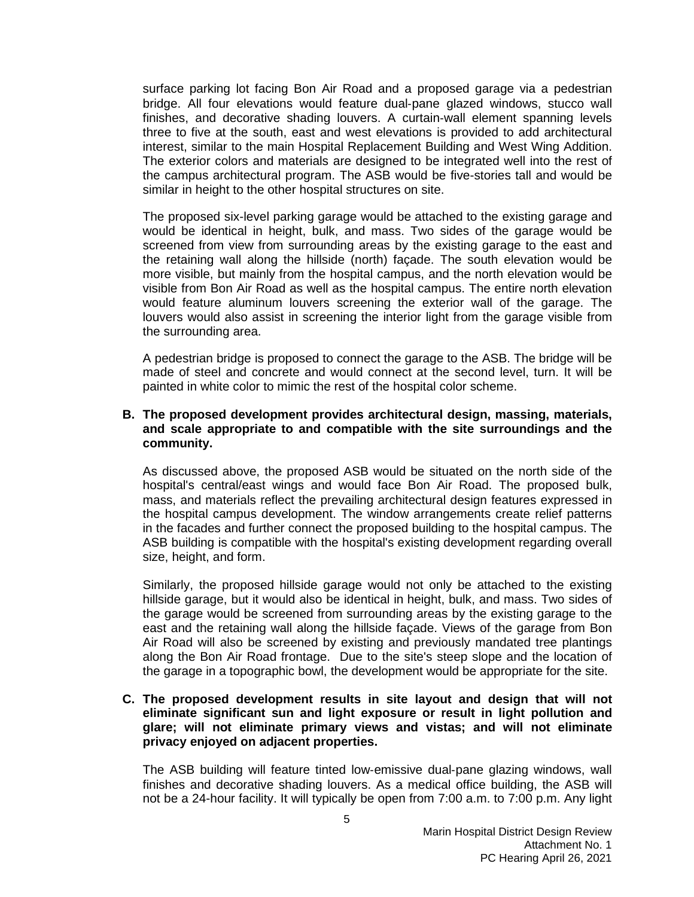surface parking lot facing Bon Air Road and a proposed garage via a pedestrian bridge. All four elevations would feature dual-pane glazed windows, stucco wall finishes, and decorative shading louvers. A curtain‐wall element spanning levels three to five at the south, east and west elevations is provided to add architectural interest, similar to the main Hospital Replacement Building and West Wing Addition. The exterior colors and materials are designed to be integrated well into the rest of the campus architectural program. The ASB would be five-stories tall and would be similar in height to the other hospital structures on site.

The proposed six-level parking garage would be attached to the existing garage and would be identical in height, bulk, and mass. Two sides of the garage would be screened from view from surrounding areas by the existing garage to the east and the retaining wall along the hillside (north) façade. The south elevation would be more visible, but mainly from the hospital campus, and the north elevation would be visible from Bon Air Road as well as the hospital campus. The entire north elevation would feature aluminum louvers screening the exterior wall of the garage. The louvers would also assist in screening the interior light from the garage visible from the surrounding area.

A pedestrian bridge is proposed to connect the garage to the ASB. The bridge will be made of steel and concrete and would connect at the second level, turn. It will be painted in white color to mimic the rest of the hospital color scheme.

## **B. The proposed development provides architectural design, massing, materials, and scale appropriate to and compatible with the site surroundings and the community.**

As discussed above, the proposed ASB would be situated on the north side of the hospital's central/east wings and would face Bon Air Road. The proposed bulk, mass, and materials reflect the prevailing architectural design features expressed in the hospital campus development. The window arrangements create relief patterns in the facades and further connect the proposed building to the hospital campus. The ASB building is compatible with the hospital's existing development regarding overall size, height, and form.

Similarly, the proposed hillside garage would not only be attached to the existing hillside garage, but it would also be identical in height, bulk, and mass. Two sides of the garage would be screened from surrounding areas by the existing garage to the east and the retaining wall along the hillside façade. Views of the garage from Bon Air Road will also be screened by existing and previously mandated tree plantings along the Bon Air Road frontage. Due to the site's steep slope and the location of the garage in a topographic bowl, the development would be appropriate for the site.

## **C. The proposed development results in site layout and design that will not eliminate significant sun and light exposure or result in light pollution and glare; will not eliminate primary views and vistas; and will not eliminate privacy enjoyed on adjacent properties.**

The ASB building will feature tinted low‐emissive dual‐pane glazing windows, wall finishes and decorative shading louvers. As a medical office building, the ASB will not be a 24-hour facility. It will typically be open from 7:00 a.m. to 7:00 p.m. Any light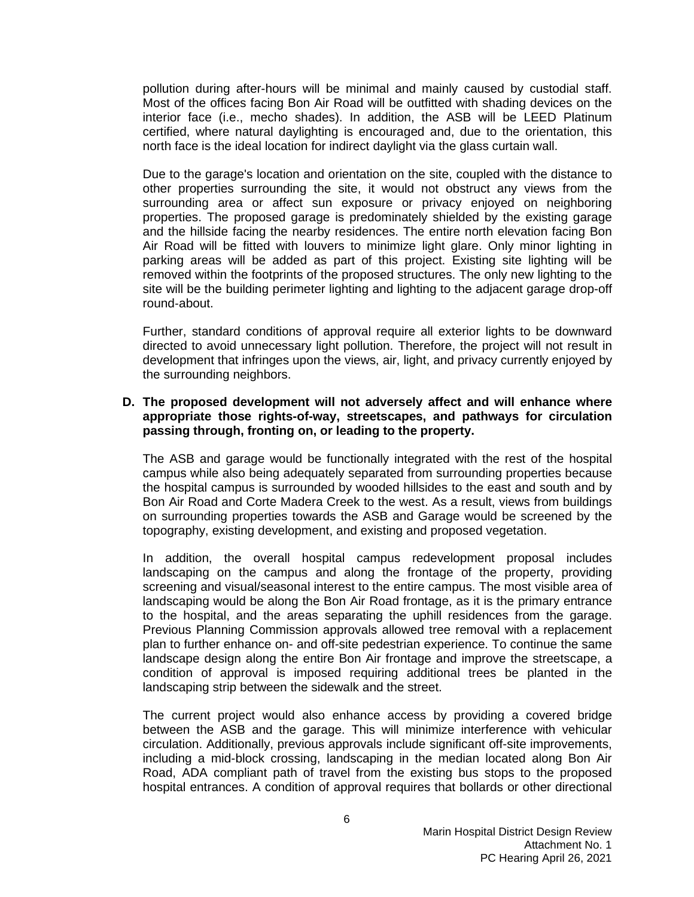pollution during after-hours will be minimal and mainly caused by custodial staff. Most of the offices facing Bon Air Road will be outfitted with shading devices on the interior face (i.e., mecho shades). In addition, the ASB will be LEED Platinum certified, where natural daylighting is encouraged and, due to the orientation, this north face is the ideal location for indirect daylight via the glass curtain wall.

Due to the garage's location and orientation on the site, coupled with the distance to other properties surrounding the site, it would not obstruct any views from the surrounding area or affect sun exposure or privacy enjoyed on neighboring properties. The proposed garage is predominately shielded by the existing garage and the hillside facing the nearby residences. The entire north elevation facing Bon Air Road will be fitted with louvers to minimize light glare. Only minor lighting in parking areas will be added as part of this project. Existing site lighting will be removed within the footprints of the proposed structures. The only new lighting to the site will be the building perimeter lighting and lighting to the adjacent garage drop-off round‐about.

Further, standard conditions of approval require all exterior lights to be downward directed to avoid unnecessary light pollution. Therefore, the project will not result in development that infringes upon the views, air, light, and privacy currently enjoyed by the surrounding neighbors.

### **D. The proposed development will not adversely affect and will enhance where appropriate those rights-of-way, streetscapes, and pathways for circulation passing through, fronting on, or leading to the property.**

The ASB and garage would be functionally integrated with the rest of the hospital campus while also being adequately separated from surrounding properties because the hospital campus is surrounded by wooded hillsides to the east and south and by Bon Air Road and Corte Madera Creek to the west. As a result, views from buildings on surrounding properties towards the ASB and Garage would be screened by the topography, existing development, and existing and proposed vegetation.

In addition, the overall hospital campus redevelopment proposal includes landscaping on the campus and along the frontage of the property, providing screening and visual/seasonal interest to the entire campus. The most visible area of landscaping would be along the Bon Air Road frontage, as it is the primary entrance to the hospital, and the areas separating the uphill residences from the garage. Previous Planning Commission approvals allowed tree removal with a replacement plan to further enhance on- and off-site pedestrian experience. To continue the same landscape design along the entire Bon Air frontage and improve the streetscape, a condition of approval is imposed requiring additional trees be planted in the landscaping strip between the sidewalk and the street.

The current project would also enhance access by providing a covered bridge between the ASB and the garage. This will minimize interference with vehicular circulation. Additionally, previous approvals include significant off-site improvements, including a mid-block crossing, landscaping in the median located along Bon Air Road, ADA compliant path of travel from the existing bus stops to the proposed hospital entrances. A condition of approval requires that bollards or other directional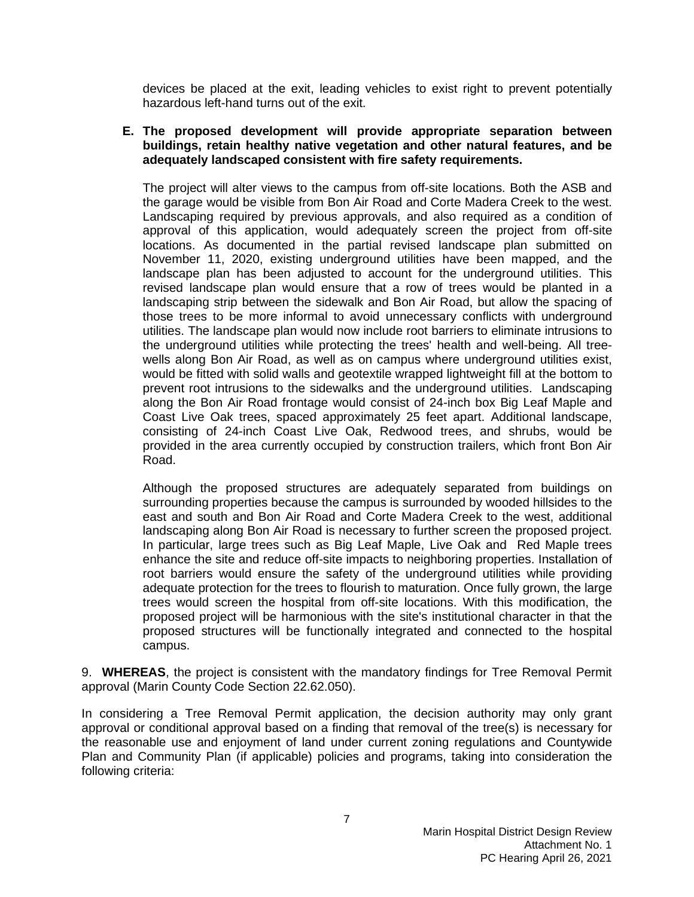devices be placed at the exit, leading vehicles to exist right to prevent potentially hazardous left-hand turns out of the exit.

### **E. The proposed development will provide appropriate separation between buildings, retain healthy native vegetation and other natural features, and be adequately landscaped consistent with fire safety requirements.**

The project will alter views to the campus from off-site locations. Both the ASB and the garage would be visible from Bon Air Road and Corte Madera Creek to the west. Landscaping required by previous approvals, and also required as a condition of approval of this application, would adequately screen the project from off-site locations. As documented in the partial revised landscape plan submitted on November 11, 2020, existing underground utilities have been mapped, and the landscape plan has been adjusted to account for the underground utilities. This revised landscape plan would ensure that a row of trees would be planted in a landscaping strip between the sidewalk and Bon Air Road, but allow the spacing of those trees to be more informal to avoid unnecessary conflicts with underground utilities. The landscape plan would now include root barriers to eliminate intrusions to the underground utilities while protecting the trees' health and well-being. All treewells along Bon Air Road, as well as on campus where underground utilities exist, would be fitted with solid walls and geotextile wrapped lightweight fill at the bottom to prevent root intrusions to the sidewalks and the underground utilities. Landscaping along the Bon Air Road frontage would consist of 24-inch box Big Leaf Maple and Coast Live Oak trees, spaced approximately 25 feet apart. Additional landscape, consisting of 24-inch Coast Live Oak, Redwood trees, and shrubs, would be provided in the area currently occupied by construction trailers, which front Bon Air Road.

Although the proposed structures are adequately separated from buildings on surrounding properties because the campus is surrounded by wooded hillsides to the east and south and Bon Air Road and Corte Madera Creek to the west, additional landscaping along Bon Air Road is necessary to further screen the proposed project. In particular, large trees such as Big Leaf Maple, Live Oak and Red Maple trees enhance the site and reduce off-site impacts to neighboring properties. Installation of root barriers would ensure the safety of the underground utilities while providing adequate protection for the trees to flourish to maturation. Once fully grown, the large trees would screen the hospital from off-site locations. With this modification, the proposed project will be harmonious with the site's institutional character in that the proposed structures will be functionally integrated and connected to the hospital campus.

9. **WHEREAS**, the project is consistent with the mandatory findings for Tree Removal Permit approval (Marin County Code Section 22.62.050).

In considering a Tree Removal Permit application, the decision authority may only grant approval or conditional approval based on a finding that removal of the tree(s) is necessary for the reasonable use and enjoyment of land under current zoning regulations and Countywide Plan and Community Plan (if applicable) policies and programs, taking into consideration the following criteria: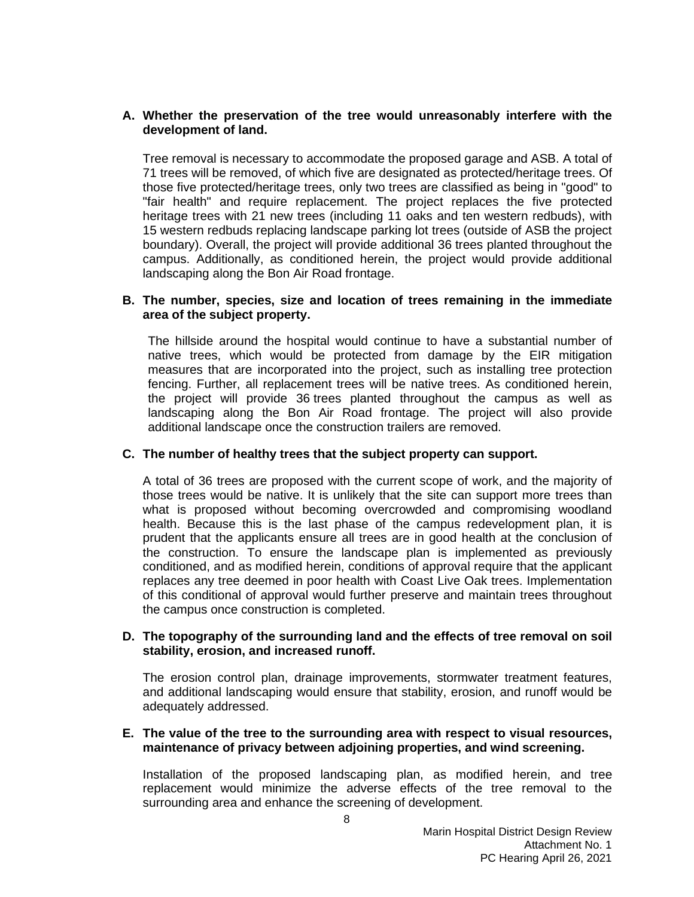# **A. Whether the preservation of the tree would unreasonably interfere with the development of land.**

Tree removal is necessary to accommodate the proposed garage and ASB. A total of 71 trees will be removed, of which five are designated as protected/heritage trees. Of those five protected/heritage trees, only two trees are classified as being in "good" to "fair health" and require replacement. The project replaces the five protected heritage trees with 21 new trees (including 11 oaks and ten western redbuds), with 15 western redbuds replacing landscape parking lot trees (outside of ASB the project boundary). Overall, the project will provide additional 36 trees planted throughout the campus. Additionally, as conditioned herein, the project would provide additional landscaping along the Bon Air Road frontage.

# **B. The number, species, size and location of trees remaining in the immediate area of the subject property.**

The hillside around the hospital would continue to have a substantial number of native trees, which would be protected from damage by the EIR mitigation measures that are incorporated into the project, such as installing tree protection fencing. Further, all replacement trees will be native trees. As conditioned herein, the project will provide 36 trees planted throughout the campus as well as landscaping along the Bon Air Road frontage. The project will also provide additional landscape once the construction trailers are removed.

# **C. The number of healthy trees that the subject property can support.**

A total of 36 trees are proposed with the current scope of work, and the majority of those trees would be native. It is unlikely that the site can support more trees than what is proposed without becoming overcrowded and compromising woodland health. Because this is the last phase of the campus redevelopment plan, it is prudent that the applicants ensure all trees are in good health at the conclusion of the construction. To ensure the landscape plan is implemented as previously conditioned, and as modified herein, conditions of approval require that the applicant replaces any tree deemed in poor health with Coast Live Oak trees. Implementation of this conditional of approval would further preserve and maintain trees throughout the campus once construction is completed.

## **D. The topography of the surrounding land and the effects of tree removal on soil stability, erosion, and increased runoff.**

The erosion control plan, drainage improvements, stormwater treatment features, and additional landscaping would ensure that stability, erosion, and runoff would be adequately addressed.

## **E. The value of the tree to the surrounding area with respect to visual resources, maintenance of privacy between adjoining properties, and wind screening.**

Installation of the proposed landscaping plan, as modified herein, and tree replacement would minimize the adverse effects of the tree removal to the surrounding area and enhance the screening of development.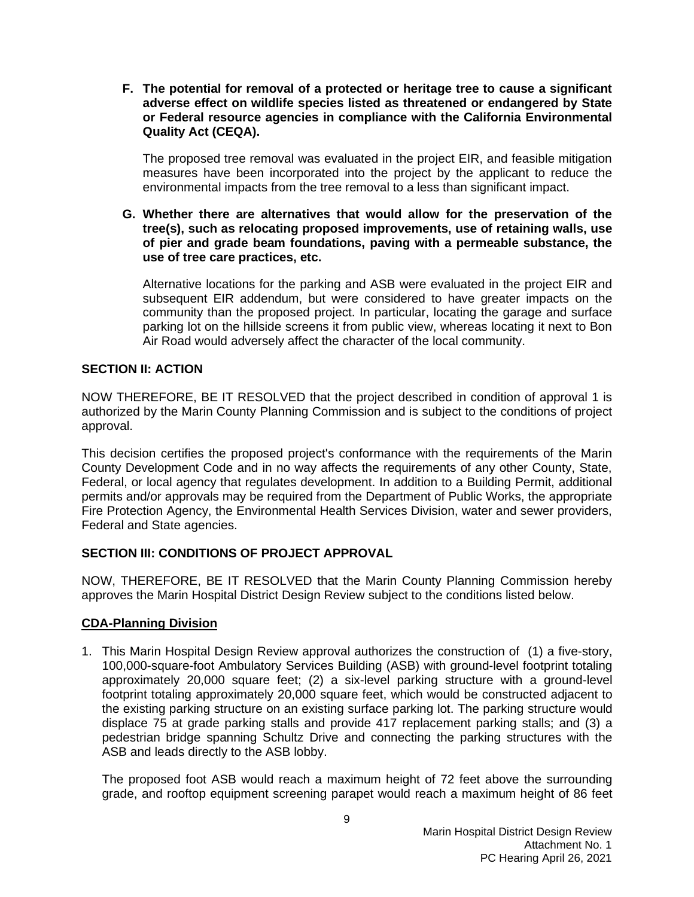**F. The potential for removal of a protected or heritage tree to cause a significant adverse effect on wildlife species listed as threatened or endangered by State or Federal resource agencies in compliance with the California Environmental Quality Act (CEQA).**

The proposed tree removal was evaluated in the project EIR, and feasible mitigation measures have been incorporated into the project by the applicant to reduce the environmental impacts from the tree removal to a less than significant impact.

**G. Whether there are alternatives that would allow for the preservation of the tree(s), such as relocating proposed improvements, use of retaining walls, use of pier and grade beam foundations, paving with a permeable substance, the use of tree care practices, etc.**

Alternative locations for the parking and ASB were evaluated in the project EIR and subsequent EIR addendum, but were considered to have greater impacts on the community than the proposed project. In particular, locating the garage and surface parking lot on the hillside screens it from public view, whereas locating it next to Bon Air Road would adversely affect the character of the local community.

# **SECTION II: ACTION**

NOW THEREFORE, BE IT RESOLVED that the project described in condition of approval 1 is authorized by the Marin County Planning Commission and is subject to the conditions of project approval.

This decision certifies the proposed project's conformance with the requirements of the Marin County Development Code and in no way affects the requirements of any other County, State, Federal, or local agency that regulates development. In addition to a Building Permit, additional permits and/or approvals may be required from the Department of Public Works, the appropriate Fire Protection Agency, the Environmental Health Services Division, water and sewer providers, Federal and State agencies.

# **SECTION III: CONDITIONS OF PROJECT APPROVAL**

NOW, THEREFORE, BE IT RESOLVED that the Marin County Planning Commission hereby approves the Marin Hospital District Design Review subject to the conditions listed below.

# **CDA-Planning Division**

1. This Marin Hospital Design Review approval authorizes the construction of (1) a five-story, 100,000-square-foot Ambulatory Services Building (ASB) with ground-level footprint totaling approximately 20,000 square feet; (2) a six-level parking structure with a ground-level footprint totaling approximately 20,000 square feet, which would be constructed adjacent to the existing parking structure on an existing surface parking lot. The parking structure would displace 75 at grade parking stalls and provide 417 replacement parking stalls; and (3) a pedestrian bridge spanning Schultz Drive and connecting the parking structures with the ASB and leads directly to the ASB lobby.

The proposed foot ASB would reach a maximum height of 72 feet above the surrounding grade, and rooftop equipment screening parapet would reach a maximum height of 86 feet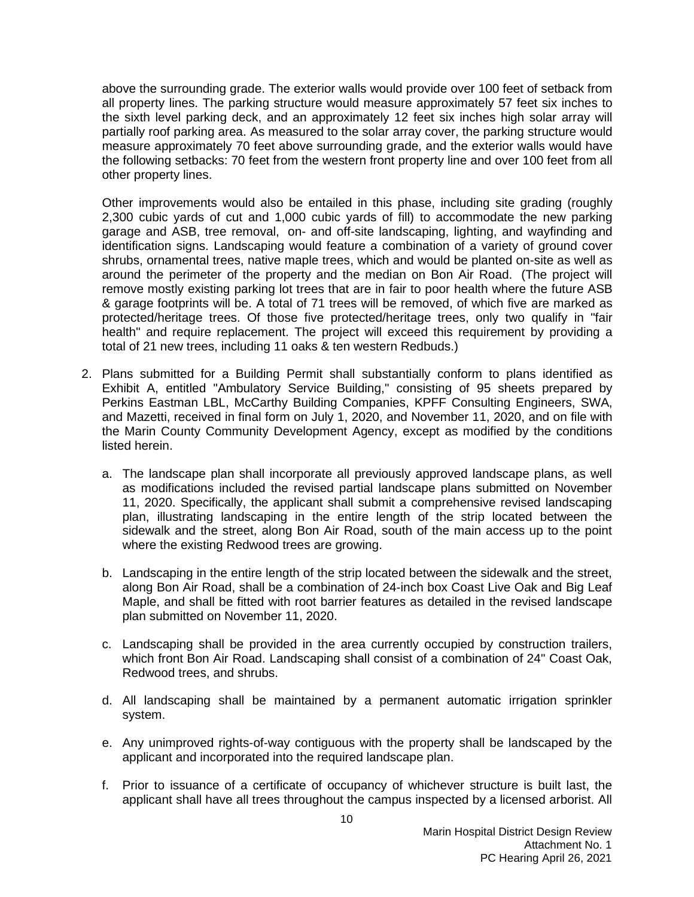above the surrounding grade. The exterior walls would provide over 100 feet of setback from all property lines. The parking structure would measure approximately 57 feet six inches to the sixth level parking deck, and an approximately 12 feet six inches high solar array will partially roof parking area. As measured to the solar array cover, the parking structure would measure approximately 70 feet above surrounding grade, and the exterior walls would have the following setbacks: 70 feet from the western front property line and over 100 feet from all other property lines.

Other improvements would also be entailed in this phase, including site grading (roughly 2,300 cubic yards of cut and 1,000 cubic yards of fill) to accommodate the new parking garage and ASB, tree removal, on- and off-site landscaping, lighting, and wayfinding and identification signs. Landscaping would feature a combination of a variety of ground cover shrubs, ornamental trees, native maple trees, which and would be planted on-site as well as around the perimeter of the property and the median on Bon Air Road. (The project will remove mostly existing parking lot trees that are in fair to poor health where the future ASB & garage footprints will be. A total of 71 trees will be removed, of which five are marked as protected/heritage trees. Of those five protected/heritage trees, only two qualify in "fair health" and require replacement. The project will exceed this requirement by providing a total of 21 new trees, including 11 oaks & ten western Redbuds.)

- 2. Plans submitted for a Building Permit shall substantially conform to plans identified as Exhibit A, entitled "Ambulatory Service Building," consisting of 95 sheets prepared by Perkins Eastman LBL, McCarthy Building Companies, KPFF Consulting Engineers, SWA, and Mazetti, received in final form on July 1, 2020, and November 11, 2020, and on file with the Marin County Community Development Agency, except as modified by the conditions listed herein.
	- a. The landscape plan shall incorporate all previously approved landscape plans, as well as modifications included the revised partial landscape plans submitted on November 11, 2020. Specifically, the applicant shall submit a comprehensive revised landscaping plan, illustrating landscaping in the entire length of the strip located between the sidewalk and the street, along Bon Air Road, south of the main access up to the point where the existing Redwood trees are growing.
	- b. Landscaping in the entire length of the strip located between the sidewalk and the street, along Bon Air Road, shall be a combination of 24-inch box Coast Live Oak and Big Leaf Maple, and shall be fitted with root barrier features as detailed in the revised landscape plan submitted on November 11, 2020.
	- c. Landscaping shall be provided in the area currently occupied by construction trailers, which front Bon Air Road. Landscaping shall consist of a combination of 24" Coast Oak, Redwood trees, and shrubs.
	- d. All landscaping shall be maintained by a permanent automatic irrigation sprinkler system.
	- e. Any unimproved rights-of-way contiguous with the property shall be landscaped by the applicant and incorporated into the required landscape plan.
	- f. Prior to issuance of a certificate of occupancy of whichever structure is built last, the applicant shall have all trees throughout the campus inspected by a licensed arborist. All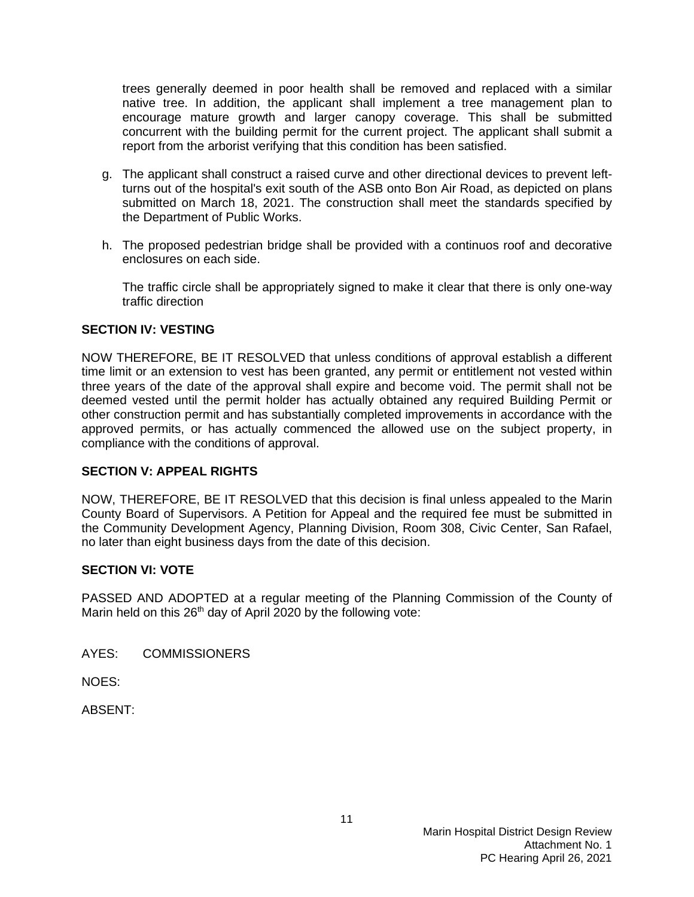trees generally deemed in poor health shall be removed and replaced with a similar native tree. In addition, the applicant shall implement a tree management plan to encourage mature growth and larger canopy coverage. This shall be submitted concurrent with the building permit for the current project. The applicant shall submit a report from the arborist verifying that this condition has been satisfied.

- g. The applicant shall construct a raised curve and other directional devices to prevent leftturns out of the hospital's exit south of the ASB onto Bon Air Road, as depicted on plans submitted on March 18, 2021. The construction shall meet the standards specified by the Department of Public Works.
- h. The proposed pedestrian bridge shall be provided with a continuos roof and decorative enclosures on each side.

The traffic circle shall be appropriately signed to make it clear that there is only one-way traffic direction

## **SECTION IV: VESTING**

NOW THEREFORE, BE IT RESOLVED that unless conditions of approval establish a different time limit or an extension to vest has been granted, any permit or entitlement not vested within three years of the date of the approval shall expire and become void. The permit shall not be deemed vested until the permit holder has actually obtained any required Building Permit or other construction permit and has substantially completed improvements in accordance with the approved permits, or has actually commenced the allowed use on the subject property, in compliance with the conditions of approval.

#### **SECTION V: APPEAL RIGHTS**

NOW, THEREFORE, BE IT RESOLVED that this decision is final unless appealed to the Marin County Board of Supervisors. A Petition for Appeal and the required fee must be submitted in the Community Development Agency, Planning Division, Room 308, Civic Center, San Rafael, no later than eight business days from the date of this decision.

#### **SECTION VI: VOTE**

PASSED AND ADOPTED at a regular meeting of the Planning Commission of the County of Marin held on this 26<sup>th</sup> day of April 2020 by the following vote:

AYES: COMMISSIONERS

NOES:

ABSENT: